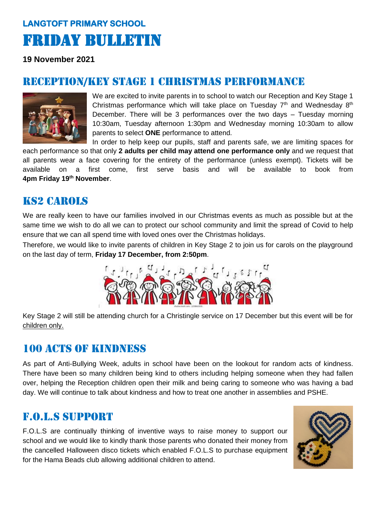## **LANGTOFT PRIMARY SCHOOL**  Friday Bulletin

**19 November 2021**

## RECEPTION/KEY STAGE 1 CHRISTMAS PERFORMANCE



We are excited to invite parents in to school to watch our Reception and Key Stage 1 Christmas performance which will take place on Tuesday  $7<sup>th</sup>$  and Wednesday  $8<sup>th</sup>$ December. There will be 3 performances over the two days – Tuesday morning 10:30am, Tuesday afternoon 1:30pm and Wednesday morning 10:30am to allow parents to select **ONE** performance to attend.

In order to help keep our pupils, staff and parents safe, we are limiting spaces for each performance so that only **2 adults per child may attend one performance only** and we request that all parents wear a face covering for the entirety of the performance (unless exempt). Tickets will be available on a first come, first serve basis and will be available to book from **4pm Friday 19th November**.

## Ks2 carols

We are really keen to have our families involved in our Christmas events as much as possible but at the same time we wish to do all we can to protect our school community and limit the spread of Covid to help ensure that we can all spend time with loved ones over the Christmas holidays.

Therefore, we would like to invite parents of children in Key Stage 2 to join us for carols on the playground on the last day of term, **Friday 17 December, from 2:50pm**.



Key Stage 2 will still be attending church for a Christingle service on 17 December but this event will be for children only.

## 100 ACTS OF KINDNESS

As part of Anti-Bullying Week, adults in school have been on the lookout for random acts of kindness. There have been so many children being kind to others including helping someone when they had fallen over, helping the Reception children open their milk and being caring to someone who was having a bad day. We will continue to talk about kindness and how to treat one another in assemblies and PSHE.

## f.o.l.s support

F.O.L.S are continually thinking of inventive ways to raise money to support our school and we would like to kindly thank those parents who donated their money from the cancelled Halloween disco tickets which enabled F.O.L.S to purchase equipment for the Hama Beads club allowing additional children to attend.

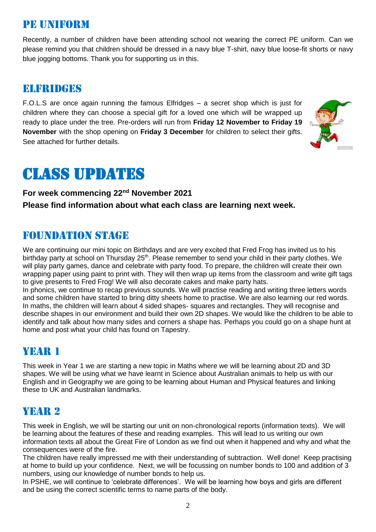## Pe uniform

Recently, a number of children have been attending school not wearing the correct PE uniform. Can we please remind you that children should be dressed in a navy blue T-shirt, navy blue loose-fit shorts or navy blue jogging bottoms. Thank you for supporting us in this.

#### Elfridges

F.O.L.S are once again running the famous Elfridges – a secret shop which is just for children where they can choose a special gift for a loved one which will be wrapped up ready to place under the tree. Pre-orders will run from **Friday 12 November to Friday 19 November** with the shop opening on **Friday 3 December** for children to select their gifts. See attached for further details.



# Class updates

#### **For week commencing 22nd November 2021 Please find information about what each class are learning next week.**

## Foundation stage

We are continuing our mini topic on Birthdays and are very excited that Fred Frog has invited us to his birthday party at school on Thursday 25<sup>th</sup>. Please remember to send your child in their party clothes. We will play party games, dance and celebrate with party food. To prepare, the children will create their own wrapping paper using paint to print with. They will then wrap up items from the classroom and write gift tags to give presents to Fred Frog! We will also decorate cakes and make party hats.

In phonics, we continue to recap previous sounds. We will practise reading and writing three letters words and some children have started to bring ditty sheets home to practise. We are also learning our red words. In maths, the children will learn about 4 sided shapes- squares and rectangles. They will recognise and describe shapes in our environment and build their own 2D shapes. We would like the children to be able to identify and talk about how many sides and corners a shape has. Perhaps you could go on a shape hunt at home and post what your child has found on Tapestry.

## YEAR 1

This week in Year 1 we are starting a new topic in Maths where we will be learning about 2D and 3D shapes. We will be using what we have learnt in Science about Australian animals to help us with our English and in Geography we are going to be learning about Human and Physical features and linking these to UK and Australian landmarks.

## YEAR 2

This week in English, we will be starting our unit on non-chronological reports (information texts). We will be learning about the features of these and reading examples. This will lead to us writing our own information texts all about the Great Fire of London as we find out when it happened and why and what the consequences were of the fire.

The children have really impressed me with their understanding of subtraction. Well done! Keep practising at home to build up your confidence. Next, we will be focussing on number bonds to 100 and addition of 3 numbers, using our knowledge of number bonds to help us.

In PSHE, we will continue to 'celebrate differences'. We will be learning how boys and girls are different and be using the correct scientific terms to name parts of the body.